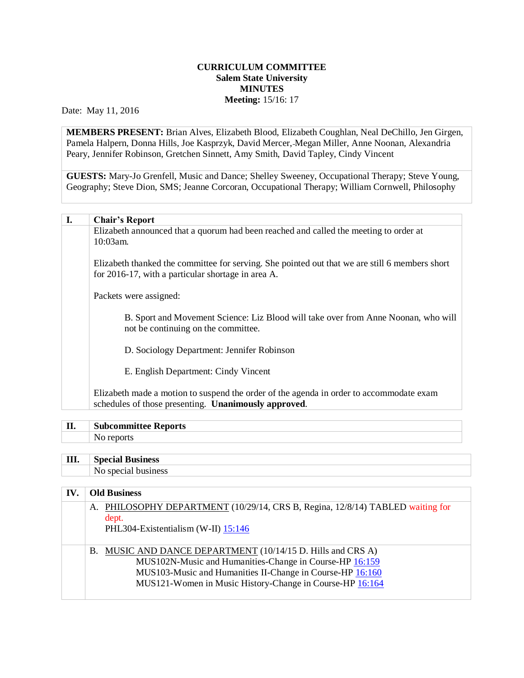## **CURRICULUM COMMITTEE Salem State University MINUTES Meeting:** 15/16: 17

Date: May 11, 2016

**MEMBERS PRESENT:** Brian Alves, Elizabeth Blood, Elizabeth Coughlan, Neal DeChillo, Jen Girgen, Pamela Halpern, Donna Hills, Joe Kasprzyk, David Mercer, Megan Miller, Anne Noonan, Alexandria Peary, Jennifer Robinson, Gretchen Sinnett, Amy Smith, David Tapley, Cindy Vincent

**GUESTS:** Mary-Jo Grenfell, Music and Dance; Shelley Sweeney, Occupational Therapy; Steve Young, Geography; Steve Dion, SMS; Jeanne Corcoran, Occupational Therapy; William Cornwell, Philosophy

## **I. Chair's Report**

Elizabeth announced that a quorum had been reached and called the meeting to order at 10:03am.

Elizabeth thanked the committee for serving. She pointed out that we are still 6 members short for 2016-17, with a particular shortage in area A.

Packets were assigned:

B. Sport and Movement Science: Liz Blood will take over from Anne Noonan, who will not be continuing on the committee.

D. Sociology Department: Jennifer Robinson

E. English Department: Cindy Vincent

Elizabeth made a motion to suspend the order of the agenda in order to accommodate exam schedules of those presenting. **Unanimously approved**.

## **II. Subcommittee Reports**

No reports

## **III. Special Business**

No special business

| IV. | <b>Old Business</b>                                                                                                                                                                                                                             |  |  |
|-----|-------------------------------------------------------------------------------------------------------------------------------------------------------------------------------------------------------------------------------------------------|--|--|
|     | A. PHILOSOPHY DEPARTMENT (10/29/14, CRS B, Regina, 12/8/14) TABLED waiting for<br>dept.<br>PHL304-Existentialism (W-II) 15:146                                                                                                                  |  |  |
|     | B. MUSIC AND DANCE DEPARTMENT (10/14/15 D. Hills and CRS A)<br>MUS102N-Music and Humanities-Change in Course-HP 16:159<br>MUS103-Music and Humanities II-Change in Course-HP 16:160<br>MUS121-Women in Music History-Change in Course-HP 16:164 |  |  |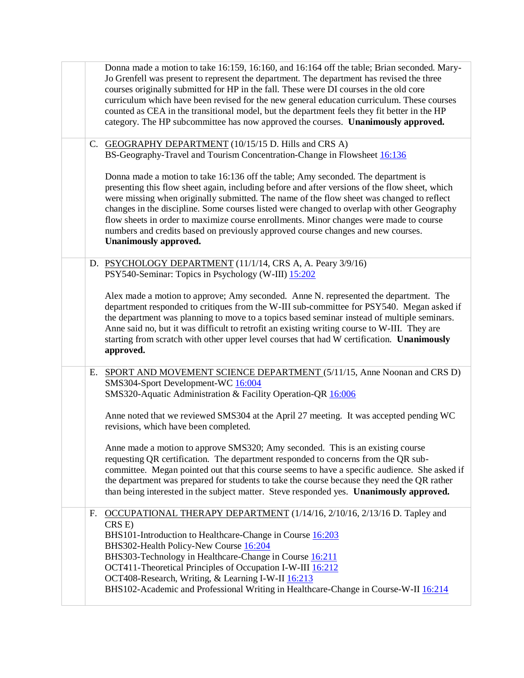|    | Donna made a motion to take 16:159, 16:160, and 16:164 off the table; Brian seconded. Mary-<br>Jo Grenfell was present to represent the department. The department has revised the three<br>courses originally submitted for HP in the fall. These were DI courses in the old core<br>curriculum which have been revised for the new general education curriculum. These courses<br>counted as CEA in the transitional model, but the department feels they fit better in the HP<br>category. The HP subcommittee has now approved the courses. Unanimously approved.                         |
|----|-----------------------------------------------------------------------------------------------------------------------------------------------------------------------------------------------------------------------------------------------------------------------------------------------------------------------------------------------------------------------------------------------------------------------------------------------------------------------------------------------------------------------------------------------------------------------------------------------|
|    | C. GEOGRAPHY DEPARTMENT (10/15/15 D. Hills and CRS A)<br>BS-Geography-Travel and Tourism Concentration-Change in Flowsheet 16:136                                                                                                                                                                                                                                                                                                                                                                                                                                                             |
|    | Donna made a motion to take 16:136 off the table; Amy seconded. The department is<br>presenting this flow sheet again, including before and after versions of the flow sheet, which<br>were missing when originally submitted. The name of the flow sheet was changed to reflect<br>changes in the discipline. Some courses listed were changed to overlap with other Geography<br>flow sheets in order to maximize course enrollments. Minor changes were made to course<br>numbers and credits based on previously approved course changes and new courses.<br><b>Unanimously approved.</b> |
|    | D. PSYCHOLOGY DEPARTMENT (11/1/14, CRS A, A. Peary 3/9/16)<br>PSY540-Seminar: Topics in Psychology (W-III) 15:202                                                                                                                                                                                                                                                                                                                                                                                                                                                                             |
|    | Alex made a motion to approve; Amy seconded. Anne N. represented the department. The<br>department responded to critiques from the W-III sub-committee for PSY540. Megan asked if<br>the department was planning to move to a topics based seminar instead of multiple seminars.<br>Anne said no, but it was difficult to retrofit an existing writing course to W-III. They are<br>starting from scratch with other upper level courses that had W certification. Unanimously<br>approved.                                                                                                   |
| Е. | SPORT AND MOVEMENT SCIENCE DEPARTMENT (5/11/15, Anne Noonan and CRS D)<br>SMS304-Sport Development-WC 16:004<br>SMS320-Aquatic Administration & Facility Operation-QR 16:006                                                                                                                                                                                                                                                                                                                                                                                                                  |
|    | Anne noted that we reviewed SMS304 at the April 27 meeting. It was accepted pending WC<br>revisions, which have been completed.                                                                                                                                                                                                                                                                                                                                                                                                                                                               |
|    | Anne made a motion to approve SMS320; Amy seconded. This is an existing course<br>requesting QR certification. The department responded to concerns from the QR sub-<br>committee. Megan pointed out that this course seems to have a specific audience. She asked if<br>the department was prepared for students to take the course because they need the QR rather<br>than being interested in the subject matter. Steve responded yes. Unanimously approved.                                                                                                                               |
| F. | OCCUPATIONAL THERAPY DEPARTMENT (1/14/16, 2/10/16, 2/13/16 D. Tapley and<br>CRS E)<br>BHS101-Introduction to Healthcare-Change in Course 16:203<br>BHS302-Health Policy-New Course 16:204<br>BHS303-Technology in Healthcare-Change in Course 16:211<br>OCT411-Theoretical Principles of Occupation I-W-III 16:212<br>OCT408-Research, Writing, & Learning I-W-II 16:213<br>BHS102-Academic and Professional Writing in Healthcare-Change in Course-W-II 16:214                                                                                                                               |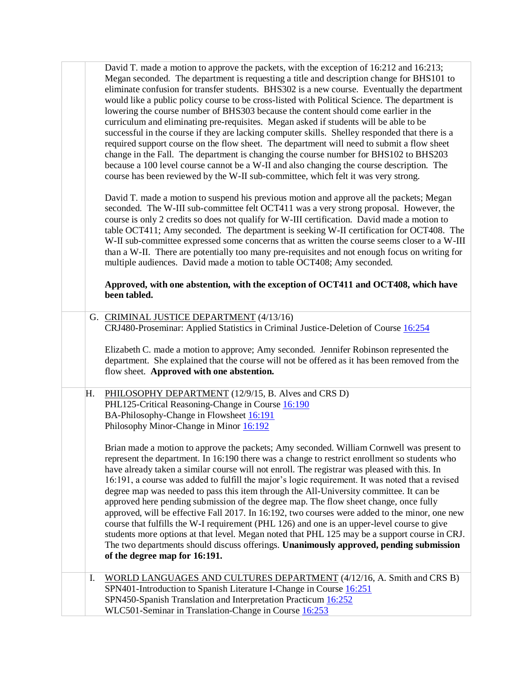|    | David T. made a motion to approve the packets, with the exception of 16:212 and 16:213;<br>Megan seconded. The department is requesting a title and description change for BHS101 to<br>eliminate confusion for transfer students. BHS302 is a new course. Eventually the department<br>would like a public policy course to be cross-listed with Political Science. The department is<br>lowering the course number of BHS303 because the content should come earlier in the<br>curriculum and eliminating pre-requisites. Megan asked if students will be able to be<br>successful in the course if they are lacking computer skills. Shelley responded that there is a<br>required support course on the flow sheet. The department will need to submit a flow sheet<br>change in the Fall. The department is changing the course number for BHS102 to BHS203<br>because a 100 level course cannot be a W-II and also changing the course description. The<br>course has been reviewed by the W-II sub-committee, which felt it was very strong.<br>David T. made a motion to suspend his previous motion and approve all the packets; Megan<br>seconded. The W-III sub-committee felt OCT411 was a very strong proposal. However, the<br>course is only 2 credits so does not qualify for W-III certification. David made a motion to<br>table OCT411; Amy seconded. The department is seeking W-II certification for OCT408. The<br>W-II sub-committee expressed some concerns that as written the course seems closer to a W-III<br>than a W-II. There are potentially too many pre-requisites and not enough focus on writing for<br>multiple audiences. David made a motion to table OCT408; Amy seconded.<br>Approved, with one abstention, with the exception of OCT411 and OCT408, which have<br>been tabled. |
|----|--------------------------------------------------------------------------------------------------------------------------------------------------------------------------------------------------------------------------------------------------------------------------------------------------------------------------------------------------------------------------------------------------------------------------------------------------------------------------------------------------------------------------------------------------------------------------------------------------------------------------------------------------------------------------------------------------------------------------------------------------------------------------------------------------------------------------------------------------------------------------------------------------------------------------------------------------------------------------------------------------------------------------------------------------------------------------------------------------------------------------------------------------------------------------------------------------------------------------------------------------------------------------------------------------------------------------------------------------------------------------------------------------------------------------------------------------------------------------------------------------------------------------------------------------------------------------------------------------------------------------------------------------------------------------------------------------------------------------------------------------------------------------------------------------------------------------|
|    | G. CRIMINAL JUSTICE DEPARTMENT (4/13/16)<br>CRJ480-Proseminar: Applied Statistics in Criminal Justice-Deletion of Course 16:254<br>Elizabeth C. made a motion to approve; Amy seconded. Jennifer Robinson represented the<br>department. She explained that the course will not be offered as it has been removed from the<br>flow sheet. Approved with one abstention.                                                                                                                                                                                                                                                                                                                                                                                                                                                                                                                                                                                                                                                                                                                                                                                                                                                                                                                                                                                                                                                                                                                                                                                                                                                                                                                                                                                                                                                  |
| Н. | PHILOSOPHY DEPARTMENT (12/9/15, B. Alves and CRS D)<br>PHL125-Critical Reasoning-Change in Course 16:190<br>BA-Philosophy-Change in Flowsheet 16:191<br>Philosophy Minor-Change in Minor 16:192<br>Brian made a motion to approve the packets; Amy seconded. William Cornwell was present to<br>represent the department. In 16:190 there was a change to restrict enrollment so students who<br>have already taken a similar course will not enroll. The registrar was pleased with this. In<br>16:191, a course was added to fulfill the major's logic requirement. It was noted that a revised<br>degree map was needed to pass this item through the All-University committee. It can be<br>approved here pending submission of the degree map. The flow sheet change, once fully<br>approved, will be effective Fall 2017. In 16:192, two courses were added to the minor, one new<br>course that fulfills the W-I requirement (PHL 126) and one is an upper-level course to give<br>students more options at that level. Megan noted that PHL 125 may be a support course in CRJ.<br>The two departments should discuss offerings. Unanimously approved, pending submission<br>of the degree map for 16:191.                                                                                                                                                                                                                                                                                                                                                                                                                                                                                                                                                                                                       |
| I. | WORLD LANGUAGES AND CULTURES DEPARTMENT (4/12/16, A. Smith and CRS B)<br>SPN401-Introduction to Spanish Literature I-Change in Course 16:251<br>SPN450-Spanish Translation and Interpretation Practicum 16:252<br>WLC501-Seminar in Translation-Change in Course 16:253                                                                                                                                                                                                                                                                                                                                                                                                                                                                                                                                                                                                                                                                                                                                                                                                                                                                                                                                                                                                                                                                                                                                                                                                                                                                                                                                                                                                                                                                                                                                                  |